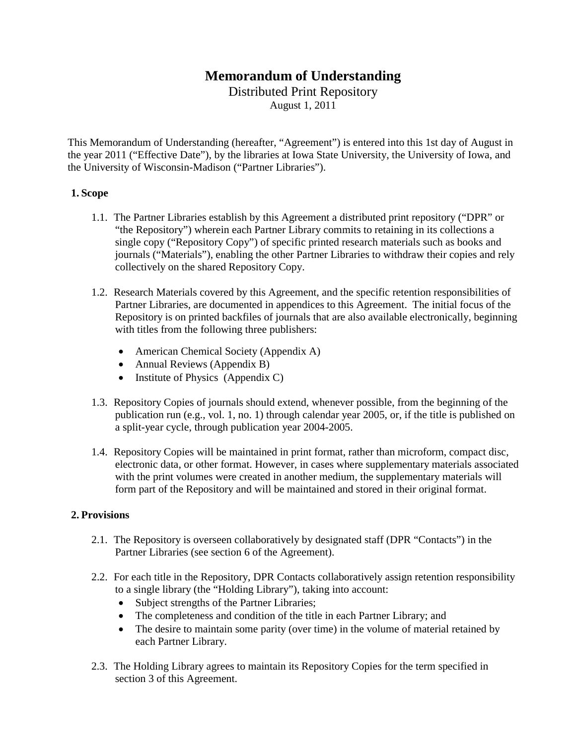# **Memorandum of Understanding**

Distributed Print Repository

August 1, 2011

This Memorandum of Understanding (hereafter, "Agreement") is entered into this 1st day of August in the year 2011 ("Effective Date"), by the libraries at Iowa State University, the University of Iowa, and the University of Wisconsin-Madison ("Partner Libraries").

#### **1. Scope**

- 1.1. The Partner Libraries establish by this Agreement a distributed print repository ("DPR" or "the Repository") wherein each Partner Library commits to retaining in its collections a single copy ("Repository Copy") of specific printed research materials such as books and journals ("Materials"), enabling the other Partner Libraries to withdraw their copies and rely collectively on the shared Repository Copy.
- 1.2. Research Materials covered by this Agreement, and the specific retention responsibilities of Partner Libraries, are documented in appendices to this Agreement. The initial focus of the Repository is on printed backfiles of journals that are also available electronically, beginning with titles from the following three publishers:
	- American Chemical Society (Appendix A)
	- Annual Reviews (Appendix B)
	- Institute of Physics (Appendix C)
- 1.3. Repository Copies of journals should extend, whenever possible, from the beginning of the publication run (e.g., vol. 1, no. 1) through calendar year 2005, or, if the title is published on a split-year cycle, through publication year 2004-2005.
- 1.4. Repository Copies will be maintained in print format, rather than microform, compact disc, electronic data, or other format. However, in cases where supplementary materials associated with the print volumes were created in another medium, the supplementary materials will form part of the Repository and will be maintained and stored in their original format.

### **2. Provisions**

- 2.1. The Repository is overseen collaboratively by designated staff (DPR "Contacts") in the Partner Libraries (see section 6 of the Agreement).
- 2.2. For each title in the Repository, DPR Contacts collaboratively assign retention responsibility to a single library (the "Holding Library"), taking into account:
	- Subject strengths of the Partner Libraries;
	- The completeness and condition of the title in each Partner Library; and
	- The desire to maintain some parity (over time) in the volume of material retained by each Partner Library.
- 2.3. The Holding Library agrees to maintain its Repository Copies for the term specified in section 3 of this Agreement.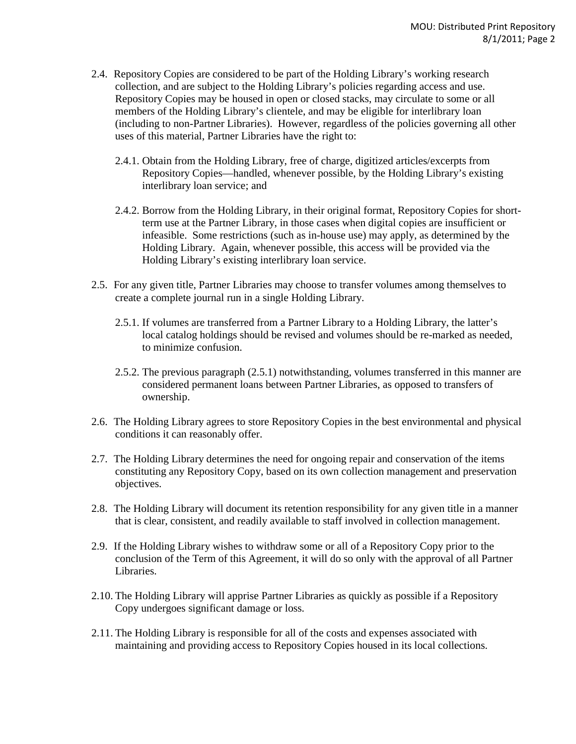- 2.4. Repository Copies are considered to be part of the Holding Library's working research collection, and are subject to the Holding Library's policies regarding access and use. Repository Copies may be housed in open or closed stacks, may circulate to some or all members of the Holding Library's clientele, and may be eligible for interlibrary loan (including to non-Partner Libraries). However, regardless of the policies governing all other uses of this material, Partner Libraries have the right to:
	- 2.4.1. Obtain from the Holding Library, free of charge, digitized articles/excerpts from Repository Copies—handled, whenever possible, by the Holding Library's existing interlibrary loan service; and
	- 2.4.2. Borrow from the Holding Library, in their original format, Repository Copies for shortterm use at the Partner Library, in those cases when digital copies are insufficient or infeasible. Some restrictions (such as in-house use) may apply, as determined by the Holding Library. Again, whenever possible, this access will be provided via the Holding Library's existing interlibrary loan service.
- 2.5. For any given title, Partner Libraries may choose to transfer volumes among themselves to create a complete journal run in a single Holding Library.
	- 2.5.1. If volumes are transferred from a Partner Library to a Holding Library, the latter's local catalog holdings should be revised and volumes should be re-marked as needed, to minimize confusion.
	- 2.5.2. The previous paragraph (2.5.1) notwithstanding, volumes transferred in this manner are considered permanent loans between Partner Libraries, as opposed to transfers of ownership.
- 2.6. The Holding Library agrees to store Repository Copies in the best environmental and physical conditions it can reasonably offer.
- 2.7. The Holding Library determines the need for ongoing repair and conservation of the items constituting any Repository Copy, based on its own collection management and preservation objectives.
- 2.8. The Holding Library will document its retention responsibility for any given title in a manner that is clear, consistent, and readily available to staff involved in collection management.
- 2.9. If the Holding Library wishes to withdraw some or all of a Repository Copy prior to the conclusion of the Term of this Agreement, it will do so only with the approval of all Partner Libraries.
- 2.10. The Holding Library will apprise Partner Libraries as quickly as possible if a Repository Copy undergoes significant damage or loss.
- 2.11. The Holding Library is responsible for all of the costs and expenses associated with maintaining and providing access to Repository Copies housed in its local collections.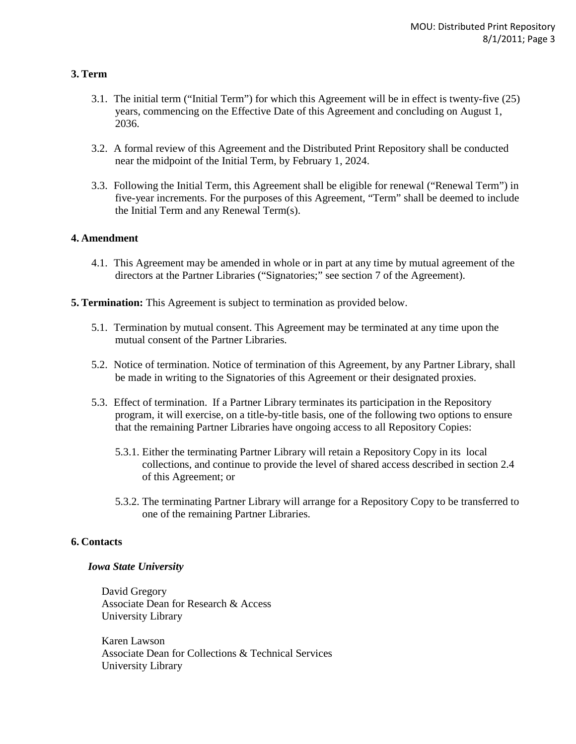### **3. Term**

- 3.1. The initial term ("Initial Term") for which this Agreement will be in effect is twenty-five (25) years, commencing on the Effective Date of this Agreement and concluding on August 1, 2036.
- 3.2. A formal review of this Agreement and the Distributed Print Repository shall be conducted near the midpoint of the Initial Term, by February 1, 2024.
- 3.3. Following the Initial Term, this Agreement shall be eligible for renewal ("Renewal Term") in five-year increments. For the purposes of this Agreement, "Term" shall be deemed to include the Initial Term and any Renewal Term(s).

### **4. Amendment**

- 4.1. This Agreement may be amended in whole or in part at any time by mutual agreement of the directors at the Partner Libraries ("Signatories;" see section 7 of the Agreement).
- **5. Termination:** This Agreement is subject to termination as provided below.
	- 5.1. Termination by mutual consent. This Agreement may be terminated at any time upon the mutual consent of the Partner Libraries.
	- 5.2. Notice of termination. Notice of termination of this Agreement, by any Partner Library, shall be made in writing to the Signatories of this Agreement or their designated proxies.
	- 5.3. Effect of termination. If a Partner Library terminates its participation in the Repository program, it will exercise, on a title-by-title basis, one of the following two options to ensure that the remaining Partner Libraries have ongoing access to all Repository Copies:
		- 5.3.1. Either the terminating Partner Library will retain a Repository Copy in its local collections, and continue to provide the level of shared access described in section 2.4 of this Agreement; or
		- 5.3.2. The terminating Partner Library will arrange for a Repository Copy to be transferred to one of the remaining Partner Libraries.

### **6. Contacts**

#### *Iowa State University*

David Gregory Associate Dean for Research & Access University Library

Karen Lawson Associate Dean for Collections & Technical Services University Library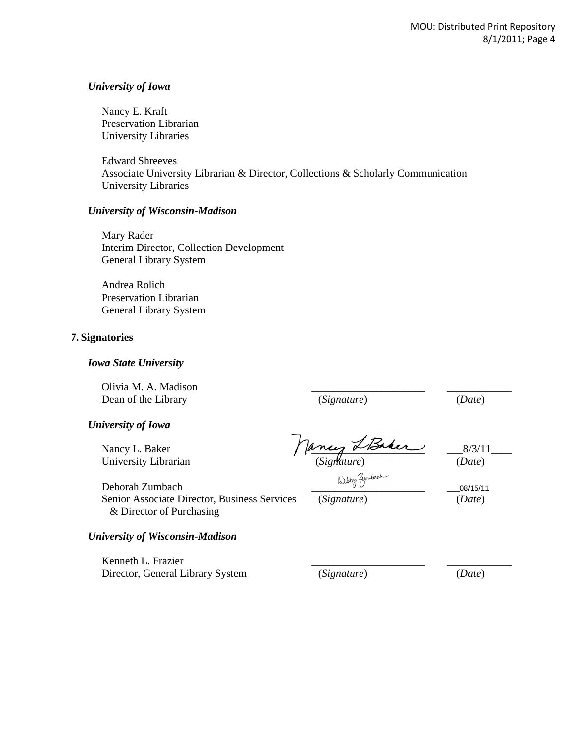#### *University of Iowa*

Nancy E. Kraft Preservation Librarian University Libraries

Edward Shreeves Associate University Librarian & Director, Collections & Scholarly Communication University Libraries

#### *University of Wisconsin-Madison*

Mary Rader Interim Director, Collection Development General Library System

Andrea Rolich Preservation Librarian General Library System

#### **7. Signatories**

#### *Iowa State University*

Olivia M. A. Madison \_\_\_\_\_\_\_\_\_\_\_\_\_\_\_\_\_\_\_\_\_ \_\_\_\_\_\_\_\_\_\_\_\_ Dean of the Library (*Signature*) (*Date*)

*University of Iowa*

University Librarian (*Signature*) (*Date*)

Nancy L. Baker  $\int \frac{d^2x}{dx^2}$   $\frac{d^2x}{dx^2}$   $\frac{8/3/11}{x^2}$ 

Deborah Zumbach  $\frac{20}{2}$ Senior Associate Director, Business Services (*Signature*) (*Date*)

08/15/11

*University of Wisconsin-Madison*

& Director of Purchasing

Kenneth L. Frazier Director, General Library System (*Signature*) (*Date*)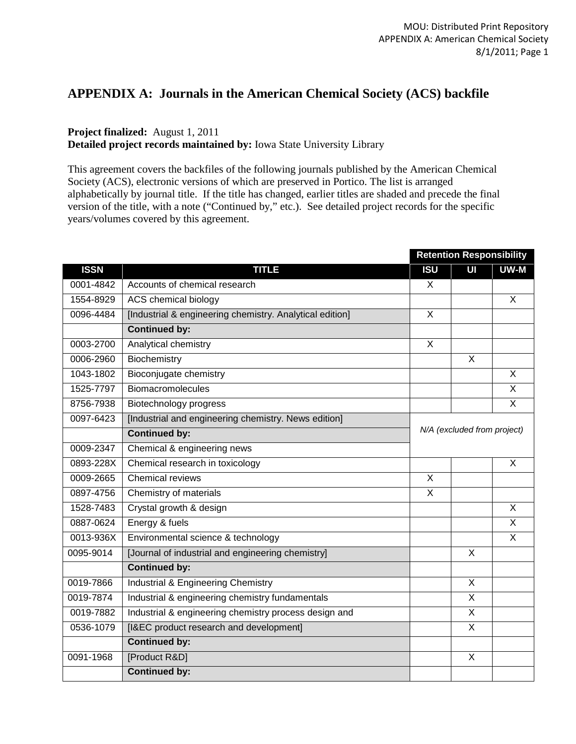# **APPENDIX A: Journals in the American Chemical Society (ACS) backfile**

# **Project finalized:** August 1, 2011

**Detailed project records maintained by:** Iowa State University Library

This agreement covers the backfiles of the following journals published by the American Chemical Society (ACS), electronic versions of which are preserved in Portico. The list is arranged alphabetically by journal title. If the title has changed, earlier titles are shaded and precede the final version of the title, with a note ("Continued by," etc.). See detailed project records for the specific years/volumes covered by this agreement.

|             |                                                          |                             | <b>Retention Responsibility</b> |              |  |
|-------------|----------------------------------------------------------|-----------------------------|---------------------------------|--------------|--|
| <b>ISSN</b> | <b>TITLE</b>                                             | <b>ISU</b>                  | UI                              | UW-M         |  |
| 0001-4842   | Accounts of chemical research                            | X                           |                                 |              |  |
| 1554-8929   | ACS chemical biology                                     |                             |                                 | $\mathsf{X}$ |  |
| 0096-4484   | [Industrial & engineering chemistry. Analytical edition] | X                           |                                 |              |  |
|             | <b>Continued by:</b>                                     |                             |                                 |              |  |
| 0003-2700   | Analytical chemistry                                     | X                           |                                 |              |  |
| 0006-2960   | Biochemistry                                             |                             | X                               |              |  |
| 1043-1802   | Bioconjugate chemistry                                   |                             |                                 | $\mathsf{X}$ |  |
| 1525-7797   | <b>Biomacromolecules</b>                                 |                             |                                 | X            |  |
| 8756-7938   | Biotechnology progress                                   |                             |                                 | X            |  |
| 0097-6423   | [Industrial and engineering chemistry. News edition]     |                             |                                 |              |  |
|             | <b>Continued by:</b>                                     | N/A (excluded from project) |                                 |              |  |
| 0009-2347   | Chemical & engineering news                              |                             |                                 |              |  |
| 0893-228X   | Chemical research in toxicology                          |                             |                                 | X            |  |
| 0009-2665   | <b>Chemical reviews</b>                                  | X                           |                                 |              |  |
| 0897-4756   | Chemistry of materials                                   | X                           |                                 |              |  |
| 1528-7483   | Crystal growth & design                                  |                             |                                 | $\mathsf{X}$ |  |
| 0887-0624   | Energy & fuels                                           |                             |                                 | X            |  |
| 0013-936X   | Environmental science & technology                       |                             |                                 | X            |  |
| 0095-9014   | [Journal of industrial and engineering chemistry]        |                             | $\mathsf{X}$                    |              |  |
|             | <b>Continued by:</b>                                     |                             |                                 |              |  |
| 0019-7866   | Industrial & Engineering Chemistry                       |                             | X                               |              |  |
| 0019-7874   | Industrial & engineering chemistry fundamentals          |                             | $\overline{\mathsf{x}}$         |              |  |
| 0019-7882   | Industrial & engineering chemistry process design and    |                             | X                               |              |  |
| 0536-1079   | [I&EC product research and development]                  |                             | $\mathsf{X}$                    |              |  |
|             | <b>Continued by:</b>                                     |                             |                                 |              |  |
| 0091-1968   | [Product R&D]                                            |                             | X                               |              |  |
|             | <b>Continued by:</b>                                     |                             |                                 |              |  |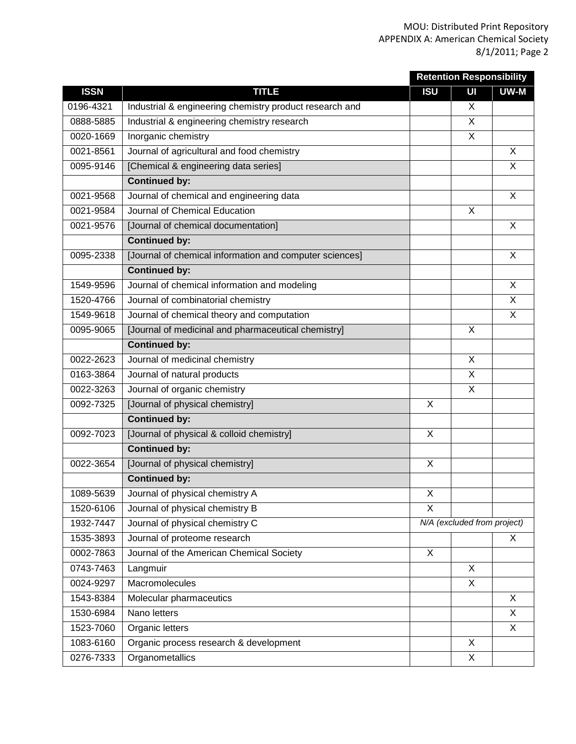|             |                                                         |            | <b>Retention Responsibility</b> |      |  |
|-------------|---------------------------------------------------------|------------|---------------------------------|------|--|
| <b>ISSN</b> | <b>TITLE</b>                                            | <b>ISU</b> | UI                              | UW-M |  |
| 0196-4321   | Industrial & engineering chemistry product research and |            | X                               |      |  |
| 0888-5885   | Industrial & engineering chemistry research             |            | $\mathsf{X}$                    |      |  |
| 0020-1669   | Inorganic chemistry                                     |            | X                               |      |  |
| 0021-8561   | Journal of agricultural and food chemistry              |            |                                 | X    |  |
| 0095-9146   | [Chemical & engineering data series]                    |            |                                 | X    |  |
|             | <b>Continued by:</b>                                    |            |                                 |      |  |
| 0021-9568   | Journal of chemical and engineering data                |            |                                 | X    |  |
| 0021-9584   | Journal of Chemical Education                           |            | X                               |      |  |
| 0021-9576   | [Journal of chemical documentation]                     |            |                                 | X    |  |
|             | <b>Continued by:</b>                                    |            |                                 |      |  |
| 0095-2338   | [Journal of chemical information and computer sciences] |            |                                 | X    |  |
|             | <b>Continued by:</b>                                    |            |                                 |      |  |
| 1549-9596   | Journal of chemical information and modeling            |            |                                 | X    |  |
| 1520-4766   | Journal of combinatorial chemistry                      |            |                                 | X    |  |
| 1549-9618   | Journal of chemical theory and computation              |            |                                 | X    |  |
| 0095-9065   | [Journal of medicinal and pharmaceutical chemistry]     |            | X                               |      |  |
|             | <b>Continued by:</b>                                    |            |                                 |      |  |
| 0022-2623   | Journal of medicinal chemistry                          |            | $\mathsf{X}$                    |      |  |
| 0163-3864   | Journal of natural products                             |            | X                               |      |  |
| 0022-3263   | Journal of organic chemistry                            |            | X                               |      |  |
| 0092-7325   | [Journal of physical chemistry]                         | X          |                                 |      |  |
|             | <b>Continued by:</b>                                    |            |                                 |      |  |
| 0092-7023   | [Journal of physical & colloid chemistry]               | X          |                                 |      |  |
|             | <b>Continued by:</b>                                    |            |                                 |      |  |
| 0022-3654   | [Journal of physical chemistry]                         | X          |                                 |      |  |
|             | <b>Continued by:</b>                                    |            |                                 |      |  |
| 1089-5639   | Journal of physical chemistry A                         | X          |                                 |      |  |
| 1520-6106   | Journal of physical chemistry B                         | X          |                                 |      |  |
| 1932-7447   | Journal of physical chemistry C                         |            | N/A (excluded from project)     |      |  |
| 1535-3893   | Journal of proteome research                            |            |                                 | X    |  |
| 0002-7863   | Journal of the American Chemical Society                | X          |                                 |      |  |
| 0743-7463   | Langmuir                                                |            | $\mathsf{X}$                    |      |  |
| 0024-9297   | Macromolecules                                          |            | X                               |      |  |
| 1543-8384   | Molecular pharmaceutics                                 |            |                                 | X    |  |
| 1530-6984   | Nano letters                                            |            |                                 | X    |  |
| 1523-7060   | Organic letters                                         |            |                                 | X    |  |
| 1083-6160   | Organic process research & development                  |            | X                               |      |  |
| 0276-7333   | Organometallics                                         |            | X                               |      |  |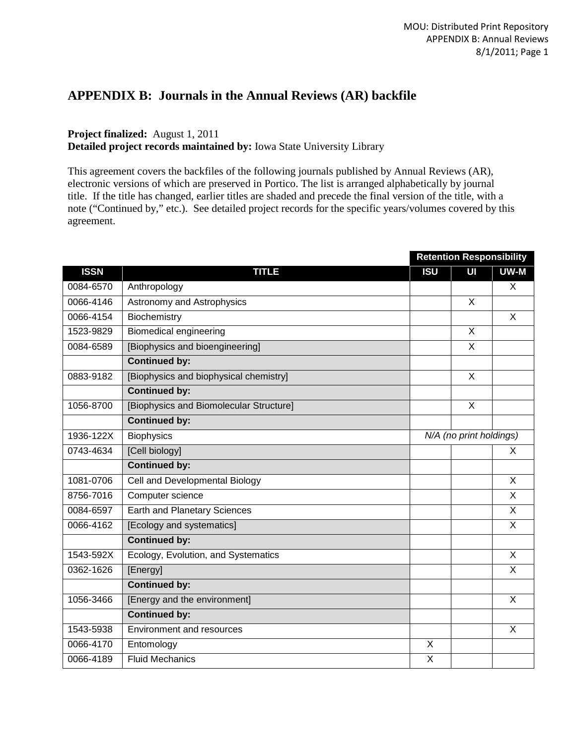# **APPENDIX B: Journals in the Annual Reviews (AR) backfile**

## **Project finalized:** August 1, 2011 **Detailed project records maintained by:** Iowa State University Library

This agreement covers the backfiles of the following journals published by Annual Reviews (AR), electronic versions of which are preserved in Portico. The list is arranged alphabetically by journal title. If the title has changed, earlier titles are shaded and precede the final version of the title, with a note ("Continued by," etc.). See detailed project records for the specific years/volumes covered by this agreement.

|             |                                         | <b>Retention Responsibility</b> |                         |                |  |
|-------------|-----------------------------------------|---------------------------------|-------------------------|----------------|--|
| <b>ISSN</b> | <b>TITLE</b>                            | <b>ISU</b>                      | UI                      | UW-M           |  |
| 0084-6570   | Anthropology                            |                                 |                         | X              |  |
| 0066-4146   | Astronomy and Astrophysics              |                                 | X                       |                |  |
| 0066-4154   | Biochemistry                            |                                 |                         | X              |  |
| 1523-9829   | <b>Biomedical engineering</b>           |                                 | $\overline{\mathsf{x}}$ |                |  |
| 0084-6589   | [Biophysics and bioengineering]         |                                 | $\overline{X}$          |                |  |
|             | <b>Continued by:</b>                    |                                 |                         |                |  |
| 0883-9182   | [Biophysics and biophysical chemistry]  |                                 | X                       |                |  |
|             | <b>Continued by:</b>                    |                                 |                         |                |  |
| 1056-8700   | [Biophysics and Biomolecular Structure] |                                 | X                       |                |  |
|             | <b>Continued by:</b>                    |                                 |                         |                |  |
| 1936-122X   | <b>Biophysics</b>                       | N/A (no print holdings)         |                         |                |  |
| 0743-4634   | [Cell biology]                          |                                 |                         | X.             |  |
|             | <b>Continued by:</b>                    |                                 |                         |                |  |
| 1081-0706   | Cell and Developmental Biology          |                                 |                         | X              |  |
| 8756-7016   | Computer science                        |                                 |                         | $\mathsf{X}$   |  |
| 0084-6597   | <b>Earth and Planetary Sciences</b>     |                                 |                         | X              |  |
| 0066-4162   | [Ecology and systematics]               |                                 |                         | X              |  |
|             | <b>Continued by:</b>                    |                                 |                         |                |  |
| 1543-592X   | Ecology, Evolution, and Systematics     |                                 |                         | $\overline{X}$ |  |
| 0362-1626   | [Energy]                                |                                 |                         | X              |  |
|             | <b>Continued by:</b>                    |                                 |                         |                |  |
| 1056-3466   | [Energy and the environment]            |                                 |                         | X              |  |
|             | <b>Continued by:</b>                    |                                 |                         |                |  |
| 1543-5938   | Environment and resources               |                                 |                         | X              |  |
| 0066-4170   | Entomology                              | X                               |                         |                |  |
| 0066-4189   | <b>Fluid Mechanics</b>                  | X                               |                         |                |  |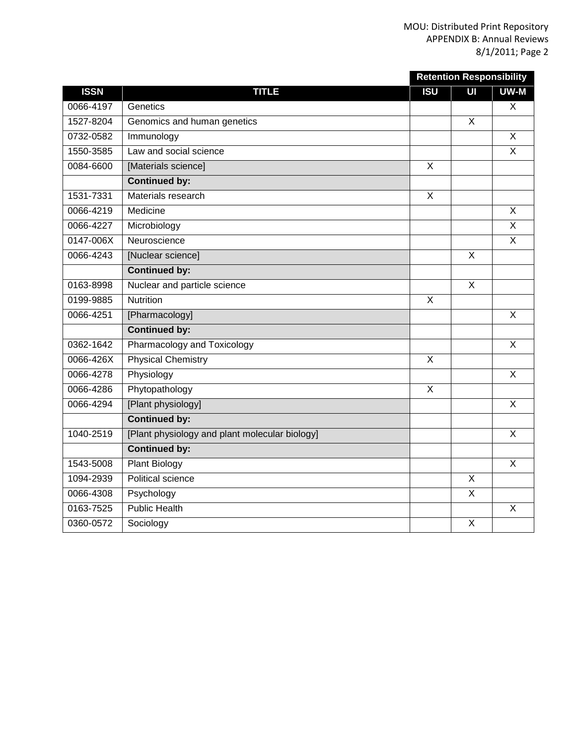|             |                                                |            | <b>Retention Responsibility</b> |                           |
|-------------|------------------------------------------------|------------|---------------------------------|---------------------------|
| <b>ISSN</b> | <b>TITLE</b>                                   | <b>ISU</b> | UI                              | UW-M                      |
| 0066-4197   | Genetics                                       |            |                                 | X                         |
| 1527-8204   | Genomics and human genetics                    |            | $\mathsf{X}$                    |                           |
| 0732-0582   | Immunology                                     |            |                                 | $\overline{X}$            |
| 1550-3585   | Law and social science                         |            |                                 | X                         |
| 0084-6600   | [Materials science]                            | $\times$   |                                 |                           |
|             | <b>Continued by:</b>                           |            |                                 |                           |
| 1531-7331   | Materials research                             | X          |                                 |                           |
| 0066-4219   | Medicine                                       |            |                                 | $\overline{\mathsf{x}}$   |
| 0066-4227   | Microbiology                                   |            |                                 | X                         |
| 0147-006X   | Neuroscience                                   |            |                                 | $\overline{X}$            |
| 0066-4243   | [Nuclear science]                              |            | $\overline{\mathsf{x}}$         |                           |
|             | <b>Continued by:</b>                           |            |                                 |                           |
| 0163-8998   | Nuclear and particle science                   |            | $\sf X$                         |                           |
| 0199-9885   | <b>Nutrition</b>                               | X          |                                 |                           |
| 0066-4251   | [Pharmacology]                                 |            |                                 | $\overline{\mathsf{x}}$   |
|             | <b>Continued by:</b>                           |            |                                 |                           |
| 0362-1642   | Pharmacology and Toxicology                    |            |                                 | $\boldsymbol{\mathsf{X}}$ |
| 0066-426X   | <b>Physical Chemistry</b>                      | $\times$   |                                 |                           |
| 0066-4278   | Physiology                                     |            |                                 | $\overline{\mathsf{x}}$   |
| 0066-4286   | Phytopathology                                 | $\times$   |                                 |                           |
| 0066-4294   | [Plant physiology]                             |            |                                 | $\boldsymbol{\mathsf{X}}$ |
|             | <b>Continued by:</b>                           |            |                                 |                           |
| 1040-2519   | [Plant physiology and plant molecular biology] |            |                                 | $\sf X$                   |
|             | <b>Continued by:</b>                           |            |                                 |                           |
| 1543-5008   | <b>Plant Biology</b>                           |            |                                 | X                         |
| 1094-2939   | <b>Political science</b>                       |            | X                               |                           |
| 0066-4308   | Psychology                                     |            | $\overline{\mathsf{x}}$         |                           |
| 0163-7525   | <b>Public Health</b>                           |            |                                 | X                         |
| 0360-0572   | Sociology                                      |            | $\boldsymbol{\mathsf{X}}$       |                           |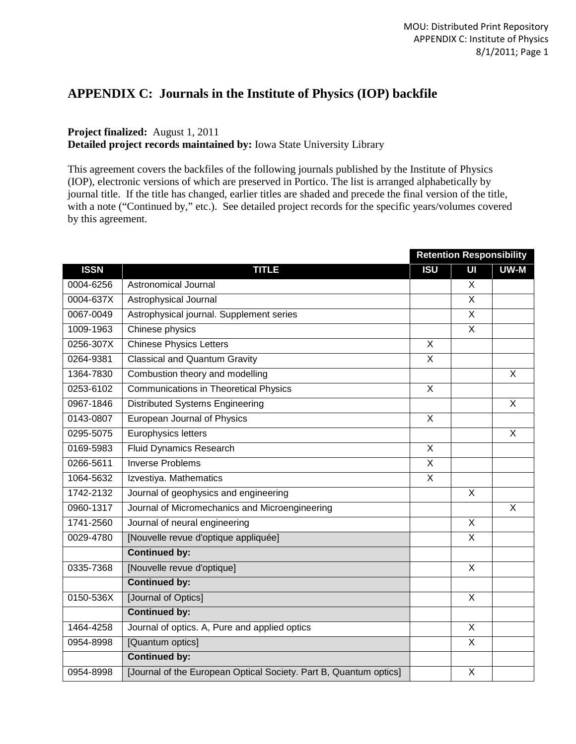# **APPENDIX C: Journals in the Institute of Physics (IOP) backfile**

# **Project finalized:** August 1, 2011

**Detailed project records maintained by:** Iowa State University Library

This agreement covers the backfiles of the following journals published by the Institute of Physics (IOP), electronic versions of which are preserved in Portico. The list is arranged alphabetically by journal title. If the title has changed, earlier titles are shaded and precede the final version of the title, with a note ("Continued by," etc.). See detailed project records for the specific years/volumes covered by this agreement.

|             |                                                                   | <b>Retention Responsibility</b> |                         |                |
|-------------|-------------------------------------------------------------------|---------------------------------|-------------------------|----------------|
| <b>ISSN</b> | <b>TITLE</b>                                                      | <b>ISU</b>                      | UI                      | UW-M           |
| 0004-6256   | Astronomical Journal                                              |                                 | X                       |                |
| 0004-637X   | Astrophysical Journal                                             |                                 | $\mathsf{X}$            |                |
| 0067-0049   | Astrophysical journal. Supplement series                          |                                 | X                       |                |
| 1009-1963   | Chinese physics                                                   |                                 | $\overline{\mathsf{x}}$ |                |
| 0256-307X   | <b>Chinese Physics Letters</b>                                    | X                               |                         |                |
| 0264-9381   | <b>Classical and Quantum Gravity</b>                              | X                               |                         |                |
| 1364-7830   | Combustion theory and modelling                                   |                                 |                         | $\mathsf{X}$   |
| 0253-6102   | <b>Communications in Theoretical Physics</b>                      | X                               |                         |                |
| 0967-1846   | <b>Distributed Systems Engineering</b>                            |                                 |                         | $\mathsf{X}$   |
| 0143-0807   | European Journal of Physics                                       | X                               |                         |                |
| 0295-5075   | Europhysics letters                                               |                                 |                         | $\overline{X}$ |
| 0169-5983   | <b>Fluid Dynamics Research</b>                                    | X                               |                         |                |
| 0266-5611   | <b>Inverse Problems</b>                                           | X                               |                         |                |
| 1064-5632   | Izvestiya. Mathematics                                            | $\times$                        |                         |                |
| 1742-2132   | Journal of geophysics and engineering                             |                                 | X                       |                |
| 0960-1317   | Journal of Micromechanics and Microengineering                    |                                 |                         | X              |
| 1741-2560   | Journal of neural engineering                                     |                                 | X                       |                |
| 0029-4780   | [Nouvelle revue d'optique appliquée]                              |                                 | X                       |                |
|             | <b>Continued by:</b>                                              |                                 |                         |                |
| 0335-7368   | [Nouvelle revue d'optique]                                        |                                 | X                       |                |
|             | <b>Continued by:</b>                                              |                                 |                         |                |
| 0150-536X   | [Journal of Optics]                                               |                                 | X                       |                |
|             | <b>Continued by:</b>                                              |                                 |                         |                |
| 1464-4258   | Journal of optics. A, Pure and applied optics                     |                                 | X                       |                |
| 0954-8998   | [Quantum optics]                                                  |                                 | X                       |                |
|             | <b>Continued by:</b>                                              |                                 |                         |                |
| 0954-8998   | [Journal of the European Optical Society. Part B, Quantum optics] |                                 | X                       |                |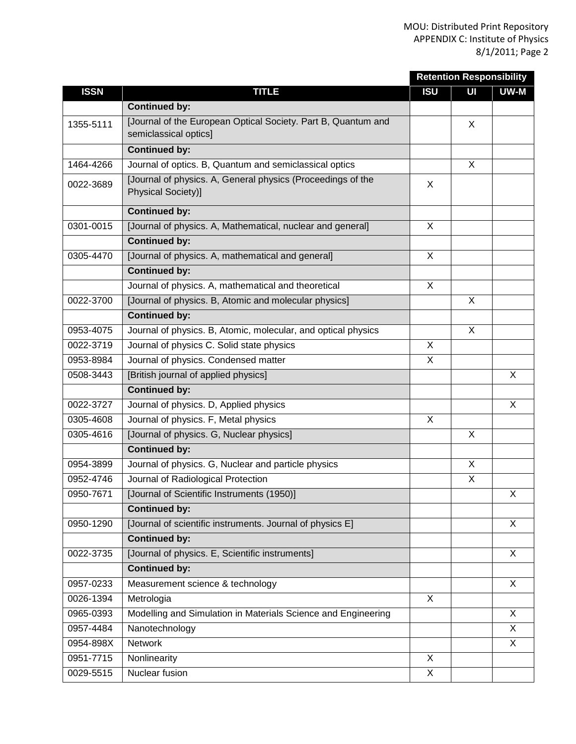|             |                                                                                       | <b>Retention Responsibility</b> |    |      |
|-------------|---------------------------------------------------------------------------------------|---------------------------------|----|------|
| <b>ISSN</b> | <b>TITLE</b>                                                                          | <b>ISU</b>                      | UI | UW-M |
|             | <b>Continued by:</b>                                                                  |                                 |    |      |
| 1355-5111   | Journal of the European Optical Society. Part B, Quantum and<br>semiclassical optics] |                                 | X  |      |
|             | <b>Continued by:</b>                                                                  |                                 |    |      |
| 1464-4266   | Journal of optics. B, Quantum and semiclassical optics                                |                                 | X  |      |
| 0022-3689   | [Journal of physics. A, General physics (Proceedings of the<br>Physical Society)]     | X                               |    |      |
|             | <b>Continued by:</b>                                                                  |                                 |    |      |
| 0301-0015   | [Journal of physics. A, Mathematical, nuclear and general]                            | X                               |    |      |
|             | <b>Continued by:</b>                                                                  |                                 |    |      |
| 0305-4470   | [Journal of physics. A, mathematical and general]                                     | X                               |    |      |
|             | <b>Continued by:</b>                                                                  |                                 |    |      |
|             | Journal of physics. A, mathematical and theoretical                                   | X                               |    |      |
| 0022-3700   | [Journal of physics. B, Atomic and molecular physics]                                 |                                 | X  |      |
|             | <b>Continued by:</b>                                                                  |                                 |    |      |
| 0953-4075   | Journal of physics. B, Atomic, molecular, and optical physics                         |                                 | X  |      |
| 0022-3719   | Journal of physics C. Solid state physics                                             | X                               |    |      |
| 0953-8984   | Journal of physics. Condensed matter                                                  | X                               |    |      |
| 0508-3443   | [British journal of applied physics]                                                  |                                 |    | X    |
|             | <b>Continued by:</b>                                                                  |                                 |    |      |
| 0022-3727   | Journal of physics. D, Applied physics                                                |                                 |    | X    |
| 0305-4608   | Journal of physics. F, Metal physics                                                  | X                               |    |      |
| 0305-4616   | [Journal of physics. G, Nuclear physics]                                              |                                 | X  |      |
|             | <b>Continued by:</b>                                                                  |                                 |    |      |
| 0954-3899   | Journal of physics. G, Nuclear and particle physics                                   |                                 | X  |      |
| 0952-4746   | Journal of Radiological Protection                                                    |                                 | X  |      |
| 0950-7671   | [Journal of Scientific Instruments (1950)]                                            |                                 |    | X    |
|             | <b>Continued by:</b>                                                                  |                                 |    |      |
| 0950-1290   | [Journal of scientific instruments. Journal of physics E]                             |                                 |    | X    |
|             | <b>Continued by:</b>                                                                  |                                 |    |      |
| 0022-3735   | [Journal of physics. E, Scientific instruments]                                       |                                 |    | X    |
|             | <b>Continued by:</b>                                                                  |                                 |    |      |
| 0957-0233   | Measurement science & technology                                                      |                                 |    | X    |
| 0026-1394   | Metrologia                                                                            | X                               |    |      |
| 0965-0393   | Modelling and Simulation in Materials Science and Engineering                         |                                 |    | X    |
| 0957-4484   | Nanotechnology                                                                        |                                 |    | X    |
| 0954-898X   | Network                                                                               |                                 |    | X    |
| 0951-7715   | Nonlinearity                                                                          | X                               |    |      |
| 0029-5515   | Nuclear fusion                                                                        | X                               |    |      |